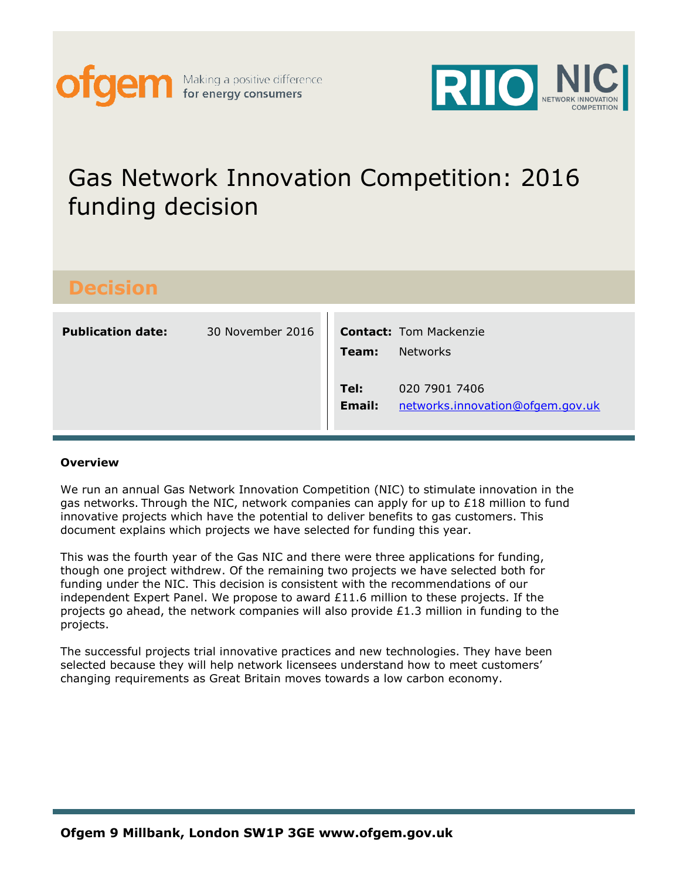



## Gas Network Innovation Competition: 2016 funding decision

| D<br>I<br>- | -                   | V              |        |
|-------------|---------------------|----------------|--------|
| ÷.          | ٦L.<br>I<br>I)<br>1 | $\bullet$<br>٧ | l<br>1 |
|             |                     |                |        |

| <b>Publication date:</b> | 30 November 2016 | Team:          | <b>Contact:</b> Tom Mackenzie<br><b>Networks</b>  |
|--------------------------|------------------|----------------|---------------------------------------------------|
|                          |                  | Tel:<br>Email: | 020 7901 7406<br>networks.innovation@ofgem.gov.uk |

#### **Overview**

We run an annual Gas Network Innovation Competition (NIC) to stimulate innovation in the gas networks. Through the NIC, network companies can apply for up to  $£18$  million to fund innovative projects which have the potential to deliver benefits to gas customers. This document explains which projects we have selected for funding this year.

This was the fourth year of the Gas NIC and there were three applications for funding, though one project withdrew. Of the remaining two projects we have selected both for funding under the NIC. This decision is consistent with the recommendations of our independent Expert Panel. We propose to award  $£11.6$  million to these projects. If the projects go ahead, the network companies will also provide £1.3 million in funding to the projects.

The successful projects trial innovative practices and new technologies. They have been selected because they will help network licensees understand how to meet customers' changing requirements as Great Britain moves towards a low carbon economy.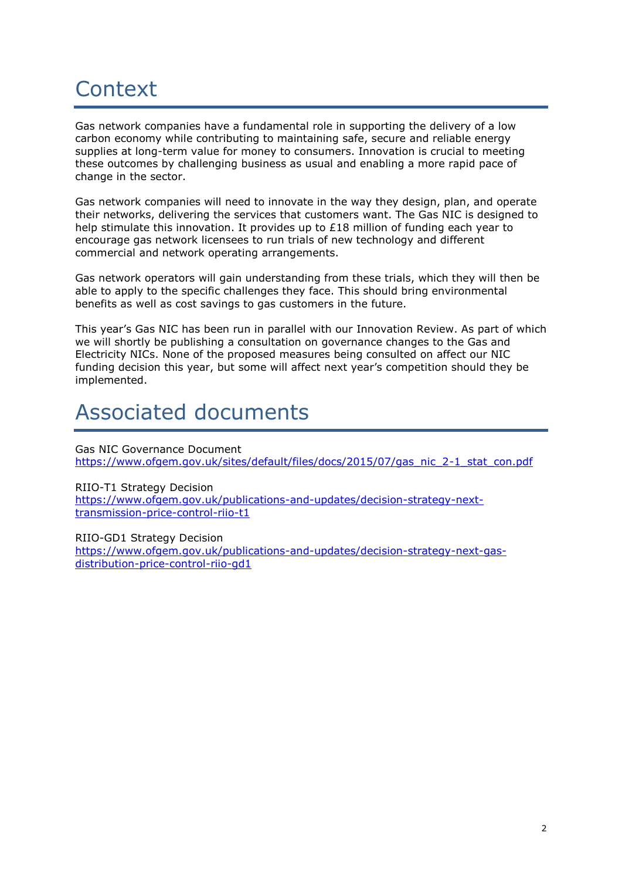# **Context**

Gas network companies have a fundamental role in supporting the delivery of a low carbon economy while contributing to maintaining safe, secure and reliable energy supplies at long-term value for money to consumers. Innovation is crucial to meeting these outcomes by challenging business as usual and enabling a more rapid pace of change in the sector.

Gas network companies will need to innovate in the way they design, plan, and operate their networks, delivering the services that customers want. The Gas NIC is designed to help stimulate this innovation. It provides up to £18 million of funding each year to encourage gas network licensees to run trials of new technology and different commercial and network operating arrangements.

Gas network operators will gain understanding from these trials, which they will then be able to apply to the specific challenges they face. This should bring environmental benefits as well as cost savings to gas customers in the future.

This year's Gas NIC has been run in parallel with our Innovation Review. As part of which we will shortly be publishing a consultation on governance changes to the Gas and Electricity NICs. None of the proposed measures being consulted on affect our NIC funding decision this year, but some will affect next year's competition should they be implemented.

## Associated documents

Gas NIC Governance Document [https://www.ofgem.gov.uk/sites/default/files/docs/2015/07/gas\\_nic\\_2-1\\_stat\\_con.pdf](https://www.ofgem.gov.uk/sites/default/files/docs/2015/07/gas_nic_2-1_stat_con.pdf)

#### RIIO-T1 Strategy Decision

[https://www.ofgem.gov.uk/publications-and-updates/decision-strategy-next](https://www.ofgem.gov.uk/publications-and-updates/decision-strategy-next-transmission-price-control-riio-t1)[transmission-price-control-riio-t1](https://www.ofgem.gov.uk/publications-and-updates/decision-strategy-next-transmission-price-control-riio-t1)

RIIO-GD1 Strategy Decision

[https://www.ofgem.gov.uk/publications-and-updates/decision-strategy-next-gas](https://www.ofgem.gov.uk/publications-and-updates/decision-strategy-next-gas-distribution-price-control-riio-gd1)[distribution-price-control-riio-gd1](https://www.ofgem.gov.uk/publications-and-updates/decision-strategy-next-gas-distribution-price-control-riio-gd1)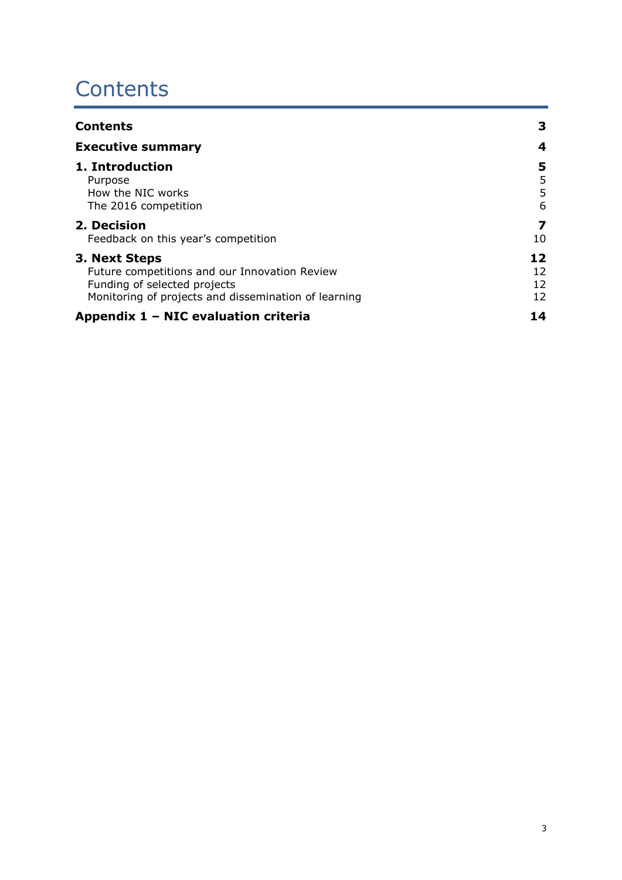## **Contents**

| <b>Contents</b>                                      | 3  |
|------------------------------------------------------|----|
| <b>Executive summary</b>                             | 4  |
| 1. Introduction                                      | 5  |
| Purpose                                              | 5  |
| How the NIC works                                    | 5  |
| The 2016 competition                                 | 6  |
| 2. Decision                                          | 7  |
| Feedback on this year's competition                  | 10 |
| 3. Next Steps                                        | 12 |
| Future competitions and our Innovation Review        | 12 |
| Funding of selected projects                         | 12 |
| Monitoring of projects and dissemination of learning | 12 |
| Appendix 1 – NIC evaluation criteria                 | 14 |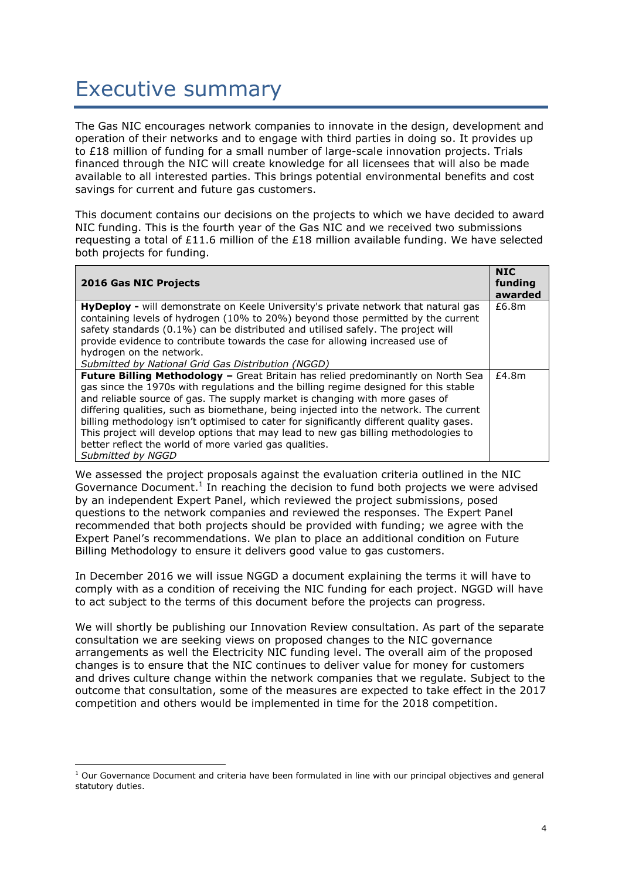## Executive summary

The Gas NIC encourages network companies to innovate in the design, development and operation of their networks and to engage with third parties in doing so. It provides up to £18 million of funding for a small number of large-scale innovation projects. Trials financed through the NIC will create knowledge for all licensees that will also be made available to all interested parties. This brings potential environmental benefits and cost savings for current and future gas customers.

This document contains our decisions on the projects to which we have decided to award NIC funding. This is the fourth year of the Gas NIC and we received two submissions requesting a total of £11.6 million of the £18 million available funding. We have selected both projects for funding.

| <b>2016 Gas NIC Projects</b>                                                                                                                                         | <b>NIC</b><br>funding<br>awarded |
|----------------------------------------------------------------------------------------------------------------------------------------------------------------------|----------------------------------|
| <b>HyDeploy -</b> will demonstrate on Keele University's private network that natural gas                                                                            | £6.8m                            |
| containing levels of hydrogen (10% to 20%) beyond those permitted by the current<br>safety standards (0.1%) can be distributed and utilised safely. The project will |                                  |
| provide evidence to contribute towards the case for allowing increased use of                                                                                        |                                  |
| hydrogen on the network.                                                                                                                                             |                                  |
| Submitted by National Grid Gas Distribution (NGGD)                                                                                                                   |                                  |
| Future Billing Methodology - Great Britain has relied predominantly on North Sea                                                                                     | f4.8m                            |
| gas since the 1970s with regulations and the billing regime designed for this stable                                                                                 |                                  |
| and reliable source of gas. The supply market is changing with more gases of                                                                                         |                                  |
| differing qualities, such as biomethane, being injected into the network. The current                                                                                |                                  |
| billing methodology isn't optimised to cater for significantly different quality gases.                                                                              |                                  |
| This project will develop options that may lead to new gas billing methodologies to                                                                                  |                                  |
| better reflect the world of more varied gas qualities.                                                                                                               |                                  |
| Submitted by NGGD                                                                                                                                                    |                                  |

We assessed the project proposals against the evaluation criteria outlined in the NIC Governance Document. $<sup>1</sup>$  In reaching the decision to fund both projects we were advised</sup> by an independent Expert Panel, which reviewed the project submissions, posed questions to the network companies and reviewed the responses. The Expert Panel recommended that both projects should be provided with funding; we agree with the Expert Panel's recommendations. We plan to place an additional condition on Future Billing Methodology to ensure it delivers good value to gas customers.

In December 2016 we will issue NGGD a document explaining the terms it will have to comply with as a condition of receiving the NIC funding for each project. NGGD will have to act subject to the terms of this document before the projects can progress.

We will shortly be publishing our Innovation Review consultation. As part of the separate consultation we are seeking views on proposed changes to the NIC governance arrangements as well the Electricity NIC funding level. The overall aim of the proposed changes is to ensure that the NIC continues to deliver value for money for customers and drives culture change within the network companies that we regulate. Subject to the outcome that consultation, some of the measures are expected to take effect in the 2017 competition and others would be implemented in time for the 2018 competition.

**.** 

 $1$  Our Governance Document and criteria have been formulated in line with our principal objectives and general statutory duties.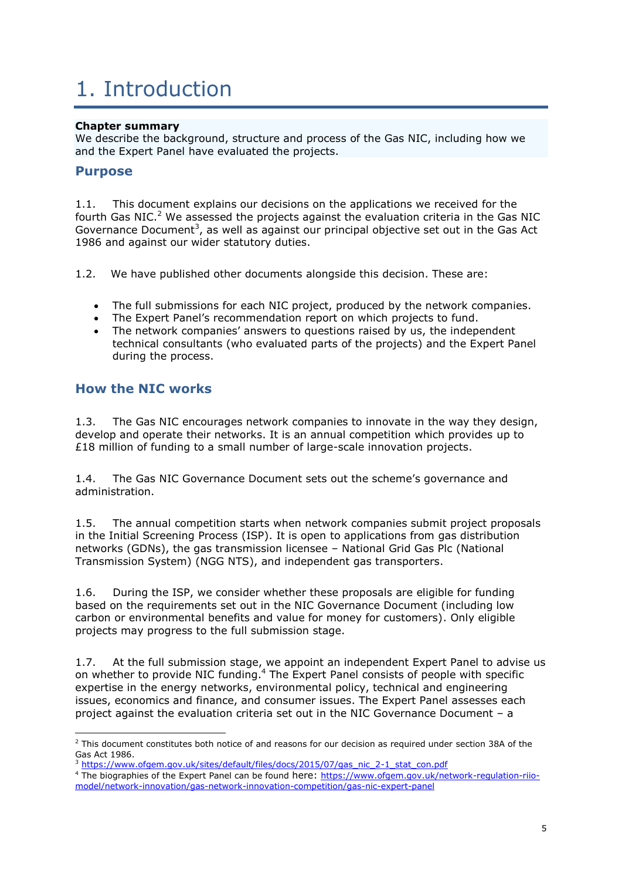# 1. Introduction

#### **Chapter summary**

We describe the background, structure and process of the Gas NIC, including how we and the Expert Panel have evaluated the projects.

### **Purpose**

1.1. This document explains our decisions on the applications we received for the fourth Gas NIC.<sup>2</sup> We assessed the projects against the evaluation criteria in the Gas NIC Governance Document<sup>3</sup>, as well as against our principal objective set out in the Gas Act 1986 and against our wider statutory duties.

- 1.2. We have published other documents alongside this decision. These are:
	- The full submissions for each NIC project, produced by the network companies.
	- The Expert Panel's recommendation report on which projects to fund.
	- The network companies' answers to questions raised by us, the independent technical consultants (who evaluated parts of the projects) and the Expert Panel during the process.

### **How the NIC works**

**.** 

1.3. The Gas NIC encourages network companies to innovate in the way they design, develop and operate their networks. It is an annual competition which provides up to £18 million of funding to a small number of large-scale innovation projects.

1.4. The Gas NIC Governance Document sets out the scheme's governance and administration.

1.5. The annual competition starts when network companies submit project proposals in the Initial Screening Process (ISP). It is open to applications from gas distribution networks (GDNs), the gas transmission licensee – National Grid Gas Plc (National Transmission System) (NGG NTS), and independent gas transporters.

1.6. During the ISP, we consider whether these proposals are eligible for funding based on the requirements set out in the NIC Governance Document (including low carbon or environmental benefits and value for money for customers). Only eligible projects may progress to the full submission stage.

1.7. At the full submission stage, we appoint an independent Expert Panel to advise us on whether to provide NIC funding.<sup>4</sup> The Expert Panel consists of people with specific expertise in the energy networks, environmental policy, technical and engineering issues, economics and finance, and consumer issues. The Expert Panel assesses each project against the evaluation criteria set out in the NIC Governance Document – a

<sup>&</sup>lt;sup>2</sup> This document constitutes both notice of and reasons for our decision as required under section 38A of the Gas Act 1986.

[https://www.ofgem.gov.uk/sites/default/files/docs/2015/07/gas\\_nic\\_2-1\\_stat\\_con.pdf](https://www.ofgem.gov.uk/sites/default/files/docs/2015/07/gas_nic_2-1_stat_con.pdf)

<sup>4</sup> The biographies of the Expert Panel can be found here: [https://www.ofgem.gov.uk/network-regulation-riio](https://www.ofgem.gov.uk/network-regulation-riio-model/network-innovation/gas-network-innovation-competition/gas-nic-expert-panel)[model/network-innovation/gas-network-innovation-competition/gas-nic-expert-panel](https://www.ofgem.gov.uk/network-regulation-riio-model/network-innovation/gas-network-innovation-competition/gas-nic-expert-panel)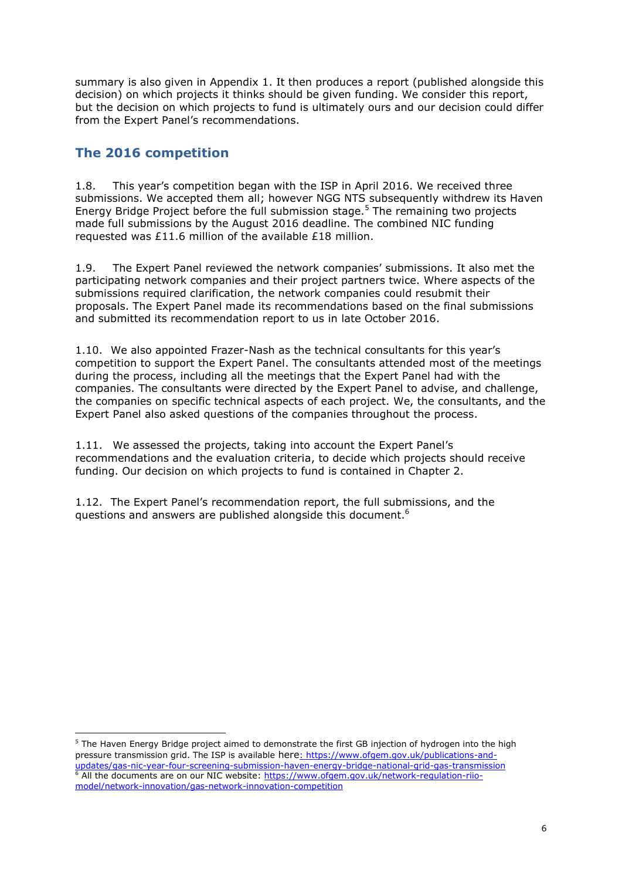summary is also given in Appendix 1. It then produces a report (published alongside this decision) on which projects it thinks should be given funding. We consider this report, but the decision on which projects to fund is ultimately ours and our decision could differ from the Expert Panel's recommendations.

## **The 2016 competition**

**.** 

1.8. This year's competition began with the ISP in April 2016. We received three submissions. We accepted them all; however NGG NTS subsequently withdrew its Haven Energy Bridge Project before the full submission stage.<sup>5</sup> The remaining two projects made full submissions by the August 2016 deadline. The combined NIC funding requested was £11.6 million of the available £18 million.

1.9. The Expert Panel reviewed the network companies' submissions. It also met the participating network companies and their project partners twice. Where aspects of the submissions required clarification, the network companies could resubmit their proposals. The Expert Panel made its recommendations based on the final submissions and submitted its recommendation report to us in late October 2016.

1.10. We also appointed Frazer-Nash as the technical consultants for this year's competition to support the Expert Panel. The consultants attended most of the meetings during the process, including all the meetings that the Expert Panel had with the companies. The consultants were directed by the Expert Panel to advise, and challenge, the companies on specific technical aspects of each project. We, the consultants, and the Expert Panel also asked questions of the companies throughout the process.

1.11. We assessed the projects, taking into account the Expert Panel's recommendations and the evaluation criteria, to decide which projects should receive funding. Our decision on which projects to fund is contained in Chapter 2.

1.12. The Expert Panel's recommendation report, the full submissions, and the questions and answers are published alongside this document.<sup>6</sup>

<sup>5</sup> The Haven Energy Bridge project aimed to demonstrate the first GB injection of hydrogen into the high pressure transmission grid. The ISP is available here: [https://www.ofgem.gov.uk/publications-and](https://www.ofgem.gov.uk/publications-and-updates/gas-nic-year-four-screening-submission-haven-energy-bridge-national-grid-gas-transmission)[updates/gas-nic-year-four-screening-submission-haven-energy-bridge-national-grid-gas-transmission](https://www.ofgem.gov.uk/publications-and-updates/gas-nic-year-four-screening-submission-haven-energy-bridge-national-grid-gas-transmission) <sup>6</sup> All the documents are on our NIC website[: https://www.ofgem.gov.uk/network-regulation-riio](https://www.ofgem.gov.uk/network-regulation-riio-model/network-innovation/gas-network-innovation-competition)[model/network-innovation/gas-network-innovation-competition](https://www.ofgem.gov.uk/network-regulation-riio-model/network-innovation/gas-network-innovation-competition)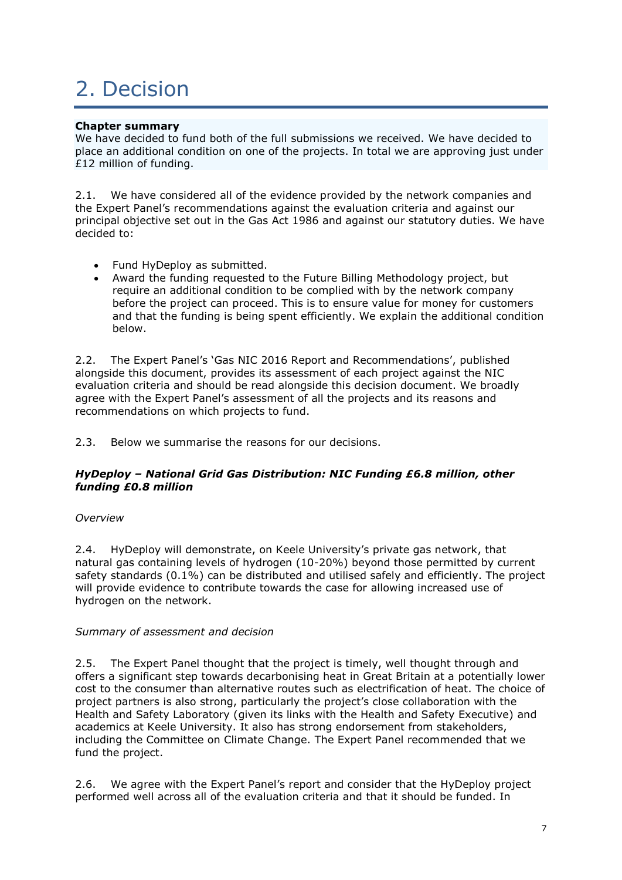# 2. Decision

#### **Chapter summary**

We have decided to fund both of the full submissions we received. We have decided to place an additional condition on one of the projects. In total we are approving just under £12 million of funding.

2.1. We have considered all of the evidence provided by the network companies and the Expert Panel's recommendations against the evaluation criteria and against our principal objective set out in the Gas Act 1986 and against our statutory duties. We have decided to:

- Fund HyDeploy as submitted.
- Award the funding requested to the Future Billing Methodology project, but require an additional condition to be complied with by the network company before the project can proceed. This is to ensure value for money for customers and that the funding is being spent efficiently. We explain the additional condition below.

2.2. The Expert Panel's 'Gas NIC 2016 Report and Recommendations', published alongside this document, provides its assessment of each project against the NIC evaluation criteria and should be read alongside this decision document. We broadly agree with the Expert Panel's assessment of all the projects and its reasons and recommendations on which projects to fund.

2.3. Below we summarise the reasons for our decisions.

#### *HyDeploy – National Grid Gas Distribution: NIC Funding £6.8 million, other funding £0.8 million*

#### *Overview*

2.4. HyDeploy will demonstrate, on Keele University's private gas network, that natural gas containing levels of hydrogen (10-20%) beyond those permitted by current safety standards (0.1%) can be distributed and utilised safely and efficiently. The project will provide evidence to contribute towards the case for allowing increased use of hydrogen on the network.

#### *Summary of assessment and decision*

2.5. The Expert Panel thought that the project is timely, well thought through and offers a significant step towards decarbonising heat in Great Britain at a potentially lower cost to the consumer than alternative routes such as electrification of heat. The choice of project partners is also strong, particularly the project's close collaboration with the Health and Safety Laboratory (given its links with the Health and Safety Executive) and academics at Keele University. It also has strong endorsement from stakeholders, including the Committee on Climate Change. The Expert Panel recommended that we fund the project.

2.6. We agree with the Expert Panel's report and consider that the HyDeploy project performed well across all of the evaluation criteria and that it should be funded. In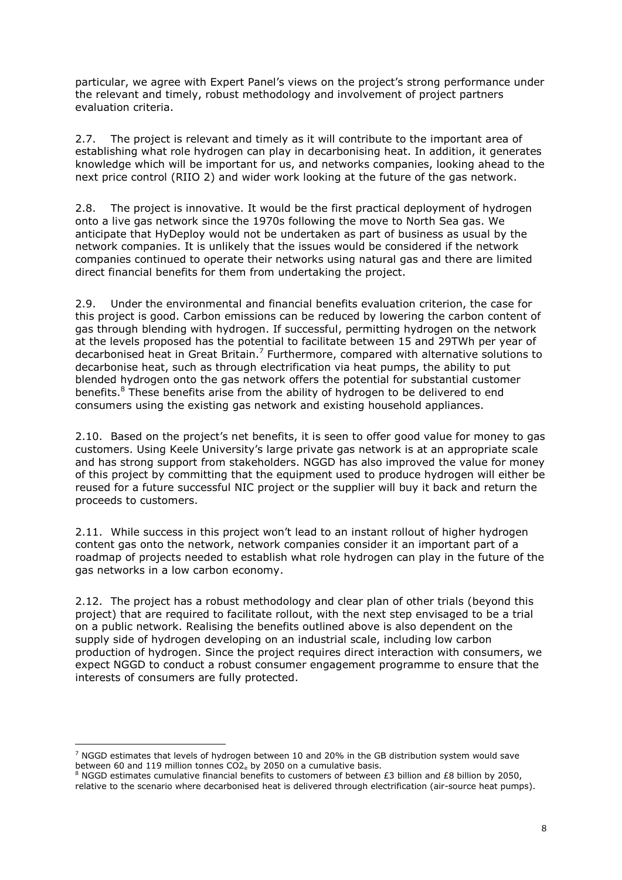particular, we agree with Expert Panel's views on the project's strong performance under the relevant and timely, robust methodology and involvement of project partners evaluation criteria.

2.7. The project is relevant and timely as it will contribute to the important area of establishing what role hydrogen can play in decarbonising heat. In addition, it generates knowledge which will be important for us, and networks companies, looking ahead to the next price control (RIIO 2) and wider work looking at the future of the gas network.

2.8. The project is innovative. It would be the first practical deployment of hydrogen onto a live gas network since the 1970s following the move to North Sea gas. We anticipate that HyDeploy would not be undertaken as part of business as usual by the network companies. It is unlikely that the issues would be considered if the network companies continued to operate their networks using natural gas and there are limited direct financial benefits for them from undertaking the project.

2.9. Under the environmental and financial benefits evaluation criterion, the case for this project is good. Carbon emissions can be reduced by lowering the carbon content of gas through blending with hydrogen. If successful, permitting hydrogen on the network at the levels proposed has the potential to facilitate between 15 and 29TWh per year of decarbonised heat in Great Britain.<sup>7</sup> Furthermore, compared with alternative solutions to decarbonise heat, such as through electrification via heat pumps, the ability to put blended hydrogen onto the gas network offers the potential for substantial customer benefits.<sup>8</sup> These benefits arise from the ability of hydrogen to be delivered to end consumers using the existing gas network and existing household appliances.

2.10. Based on the project's net benefits, it is seen to offer good value for money to gas customers. Using Keele University's large private gas network is at an appropriate scale and has strong support from stakeholders. NGGD has also improved the value for money of this project by committing that the equipment used to produce hydrogen will either be reused for a future successful NIC project or the supplier will buy it back and return the proceeds to customers.

2.11. While success in this project won't lead to an instant rollout of higher hydrogen content gas onto the network, network companies consider it an important part of a roadmap of projects needed to establish what role hydrogen can play in the future of the gas networks in a low carbon economy.

2.12. The project has a robust methodology and clear plan of other trials (beyond this project) that are required to facilitate rollout, with the next step envisaged to be a trial on a public network. Realising the benefits outlined above is also dependent on the supply side of hydrogen developing on an industrial scale, including low carbon production of hydrogen. Since the project requires direct interaction with consumers, we expect NGGD to conduct a robust consumer engagement programme to ensure that the interests of consumers are fully protected.

**.** 

 $7$  NGGD estimates that levels of hydrogen between 10 and 20% in the GB distribution system would save between 60 and 119 million tonnes  $CO2<sub>e</sub>$  by 2050 on a cumulative basis.

<sup>8</sup> NGGD estimates cumulative financial benefits to customers of between £3 billion and £8 billion by 2050, relative to the scenario where decarbonised heat is delivered through electrification (air-source heat pumps).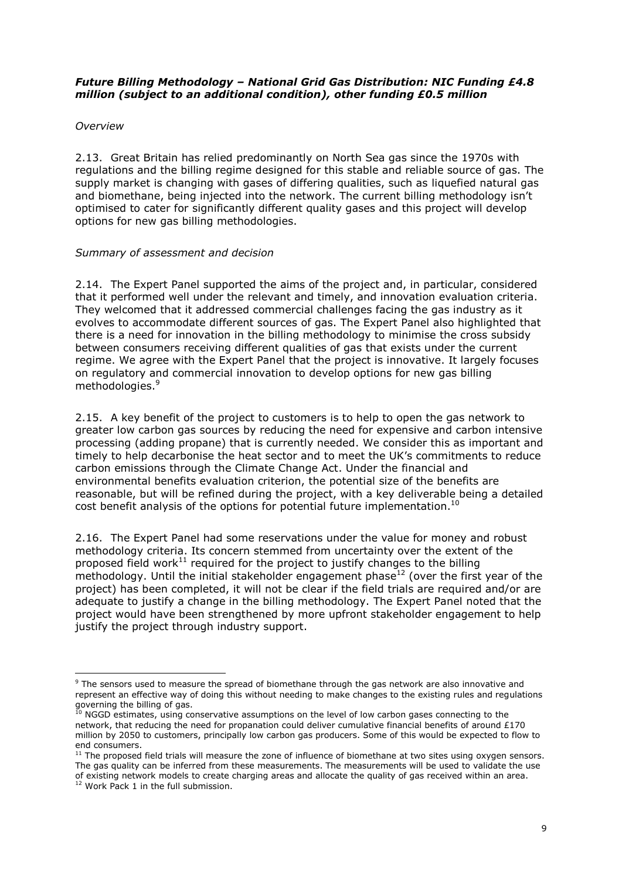#### *Future Billing Methodology – National Grid Gas Distribution: NIC Funding £4.8 million (subject to an additional condition), other funding £0.5 million*

#### *Overview*

2.13. Great Britain has relied predominantly on North Sea gas since the 1970s with regulations and the billing regime designed for this stable and reliable source of gas. The supply market is changing with gases of differing qualities, such as liquefied natural gas and biomethane, being injected into the network. The current billing methodology isn't optimised to cater for significantly different quality gases and this project will develop options for new gas billing methodologies.

#### *Summary of assessment and decision*

2.14. The Expert Panel supported the aims of the project and, in particular, considered that it performed well under the relevant and timely, and innovation evaluation criteria. They welcomed that it addressed commercial challenges facing the gas industry as it evolves to accommodate different sources of gas. The Expert Panel also highlighted that there is a need for innovation in the billing methodology to minimise the cross subsidy between consumers receiving different qualities of gas that exists under the current regime. We agree with the Expert Panel that the project is innovative. It largely focuses on regulatory and commercial innovation to develop options for new gas billing methodologies.<sup>9</sup>

2.15. A key benefit of the project to customers is to help to open the gas network to greater low carbon gas sources by reducing the need for expensive and carbon intensive processing (adding propane) that is currently needed. We consider this as important and timely to help decarbonise the heat sector and to meet the UK's commitments to reduce carbon emissions through the Climate Change Act. Under the financial and environmental benefits evaluation criterion, the potential size of the benefits are reasonable, but will be refined during the project, with a key deliverable being a detailed cost benefit analysis of the options for potential future implementation.<sup>10</sup>

2.16. The Expert Panel had some reservations under the value for money and robust methodology criteria. Its concern stemmed from uncertainty over the extent of the proposed field work $^{11}$  required for the project to justify changes to the billing methodology. Until the initial stakeholder engagement phase $^{12}$  (over the first year of the project) has been completed, it will not be clear if the field trials are required and/or are adequate to justify a change in the billing methodology. The Expert Panel noted that the project would have been strengthened by more upfront stakeholder engagement to help justify the project through industry support.

1

<sup>9</sup> The sensors used to measure the spread of biomethane through the gas network are also innovative and represent an effective way of doing this without needing to make changes to the existing rules and regulations governing the billing of gas.

 $10$  NGGD estimates, using conservative assumptions on the level of low carbon gases connecting to the network, that reducing the need for propanation could deliver cumulative financial benefits of around £170 million by 2050 to customers, principally low carbon gas producers. Some of this would be expected to flow to end consumers.

<sup>&</sup>lt;sup>11</sup> The proposed field trials will measure the zone of influence of biomethane at two sites using oxygen sensors. The gas quality can be inferred from these measurements. The measurements will be used to validate the use of existing network models to create charging areas and allocate the quality of gas received within an area.

<sup>&</sup>lt;sup>12</sup> Work Pack 1 in the full submission.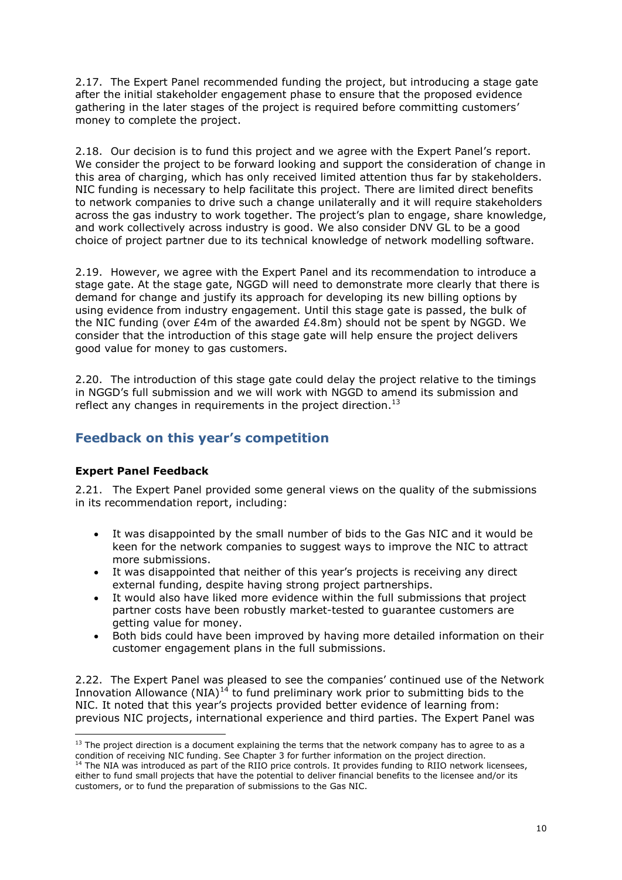2.17. The Expert Panel recommended funding the project, but introducing a stage gate after the initial stakeholder engagement phase to ensure that the proposed evidence gathering in the later stages of the project is required before committing customers' money to complete the project.

2.18. Our decision is to fund this project and we agree with the Expert Panel's report. We consider the project to be forward looking and support the consideration of change in this area of charging, which has only received limited attention thus far by stakeholders. NIC funding is necessary to help facilitate this project. There are limited direct benefits to network companies to drive such a change unilaterally and it will require stakeholders across the gas industry to work together. The project's plan to engage, share knowledge, and work collectively across industry is good. We also consider DNV GL to be a good choice of project partner due to its technical knowledge of network modelling software.

2.19. However, we agree with the Expert Panel and its recommendation to introduce a stage gate. At the stage gate, NGGD will need to demonstrate more clearly that there is demand for change and justify its approach for developing its new billing options by using evidence from industry engagement. Until this stage gate is passed, the bulk of the NIC funding (over £4m of the awarded  $£4.8m$ ) should not be spent by NGGD. We consider that the introduction of this stage gate will help ensure the project delivers good value for money to gas customers.

2.20. The introduction of this stage gate could delay the project relative to the timings in NGGD's full submission and we will work with NGGD to amend its submission and reflect any changes in requirements in the project direction.<sup>13</sup>

### **Feedback on this year's competition**

### **Expert Panel Feedback**

2.21. The Expert Panel provided some general views on the quality of the submissions in its recommendation report, including:

- It was disappointed by the small number of bids to the Gas NIC and it would be keen for the network companies to suggest ways to improve the NIC to attract more submissions.
- It was disappointed that neither of this year's projects is receiving any direct external funding, despite having strong project partnerships.
- It would also have liked more evidence within the full submissions that project partner costs have been robustly market-tested to guarantee customers are getting value for money.
- Both bids could have been improved by having more detailed information on their customer engagement plans in the full submissions.

2.22. The Expert Panel was pleased to see the companies' continued use of the Network Innovation Allowance  $(NIA)^{14}$  to fund preliminary work prior to submitting bids to the NIC. It noted that this year's projects provided better evidence of learning from: previous NIC projects, international experience and third parties. The Expert Panel was

**<sup>.</sup>**  $13$  The project direction is a document explaining the terms that the network company has to agree to as a condition of receiving NIC funding. See Chapter 3 for further information on the project direction.

<sup>&</sup>lt;sup>14</sup> The NIA was introduced as part of the RIIO price controls. It provides funding to RIIO network licensees, either to fund small projects that have the potential to deliver financial benefits to the licensee and/or its customers, or to fund the preparation of submissions to the Gas NIC.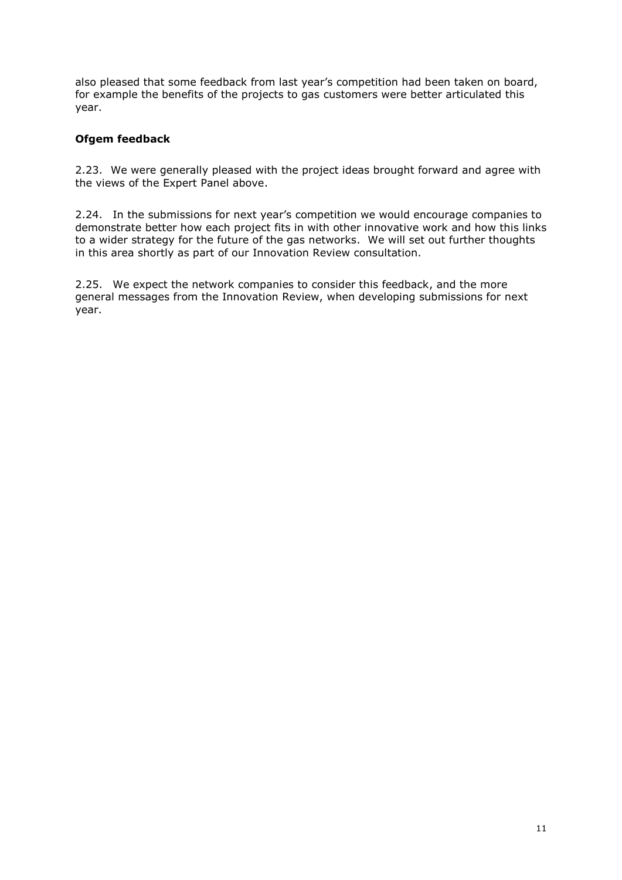also pleased that some feedback from last year's competition had been taken on board, for example the benefits of the projects to gas customers were better articulated this year.

#### **Ofgem feedback**

2.23. We were generally pleased with the project ideas brought forward and agree with the views of the Expert Panel above.

2.24. In the submissions for next year's competition we would encourage companies to demonstrate better how each project fits in with other innovative work and how this links to a wider strategy for the future of the gas networks. We will set out further thoughts in this area shortly as part of our Innovation Review consultation.

2.25. We expect the network companies to consider this feedback, and the more general messages from the Innovation Review, when developing submissions for next year.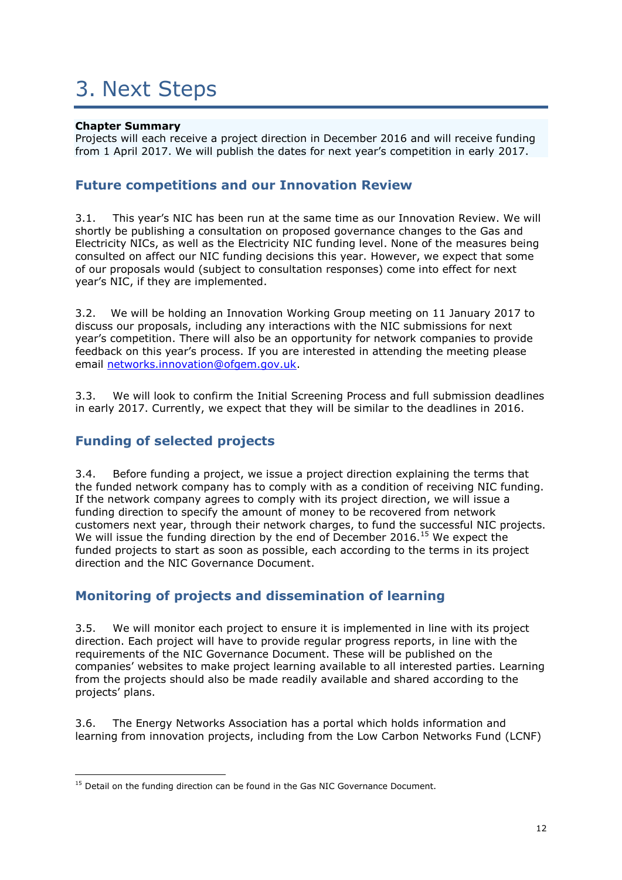# 3. Next Steps

#### **Chapter Summary**

Projects will each receive a project direction in December 2016 and will receive funding from 1 April 2017. We will publish the dates for next year's competition in early 2017.

### **Future competitions and our Innovation Review**

3.1. This year's NIC has been run at the same time as our Innovation Review. We will shortly be publishing a consultation on proposed governance changes to the Gas and Electricity NICs, as well as the Electricity NIC funding level. None of the measures being consulted on affect our NIC funding decisions this year. However, we expect that some of our proposals would (subject to consultation responses) come into effect for next year's NIC, if they are implemented.

3.2. We will be holding an Innovation Working Group meeting on 11 January 2017 to discuss our proposals, including any interactions with the NIC submissions for next year's competition. There will also be an opportunity for network companies to provide feedback on this year's process. If you are interested in attending the meeting please email [networks.innovation@ofgem.gov.uk.](mailto:networks.innovation@ofgem.gov.uk)

3.3. We will look to confirm the Initial Screening Process and full submission deadlines in early 2017. Currently, we expect that they will be similar to the deadlines in 2016.

### **Funding of selected projects**

3.4. Before funding a project, we issue a project direction explaining the terms that the funded network company has to comply with as a condition of receiving NIC funding. If the network company agrees to comply with its project direction, we will issue a funding direction to specify the amount of money to be recovered from network customers next year, through their network charges, to fund the successful NIC projects. We will issue the funding direction by the end of December 2016.<sup>15</sup> We expect the funded projects to start as soon as possible, each according to the terms in its project direction and the NIC Governance Document.

## **Monitoring of projects and dissemination of learning**

3.5. We will monitor each project to ensure it is implemented in line with its project direction. Each project will have to provide regular progress reports, in line with the requirements of the NIC Governance Document. These will be published on the companies' websites to make project learning available to all interested parties. Learning from the projects should also be made readily available and shared according to the projects' plans.

3.6. The Energy Networks Association has a portal which holds information and learning from innovation projects, including from the Low Carbon Networks Fund (LCNF)

**<sup>.</sup>**  $15$  Detail on the funding direction can be found in the Gas NIC Governance Document.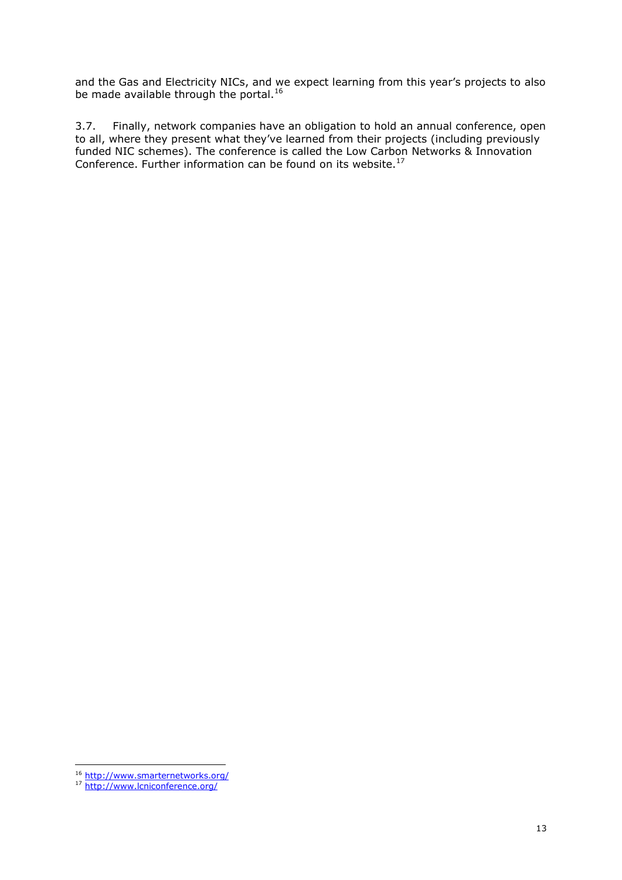and the Gas and Electricity NICs, and we expect learning from this year's projects to also be made available through the portal.<sup>16</sup>

3.7. Finally, network companies have an obligation to hold an annual conference, open to all, where they present what they've learned from their projects (including previously funded NIC schemes). The conference is called the Low Carbon Networks & Innovation Conference. Further information can be found on its website.<sup>17</sup>

**<sup>.</sup>** 16 <http://www.smarternetworks.org/>

<sup>&</sup>lt;sup>17</sup> <http://www.lcniconference.org/>